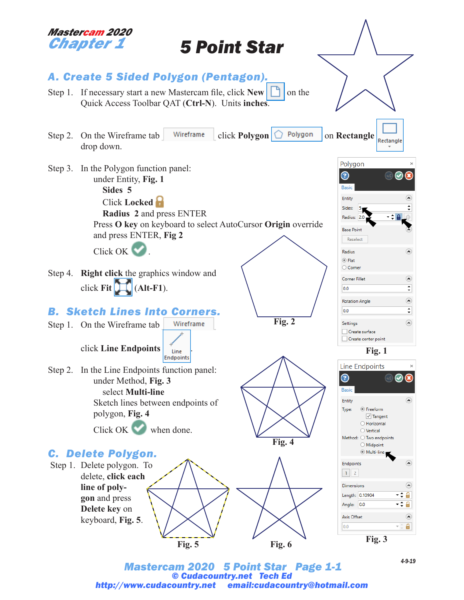

*Mastercam 2020 5 Point Star Page 1-1 © Cudacountry.net Tech Ed http://www.cudacountry.net email:cudacountry@hotmail.com*